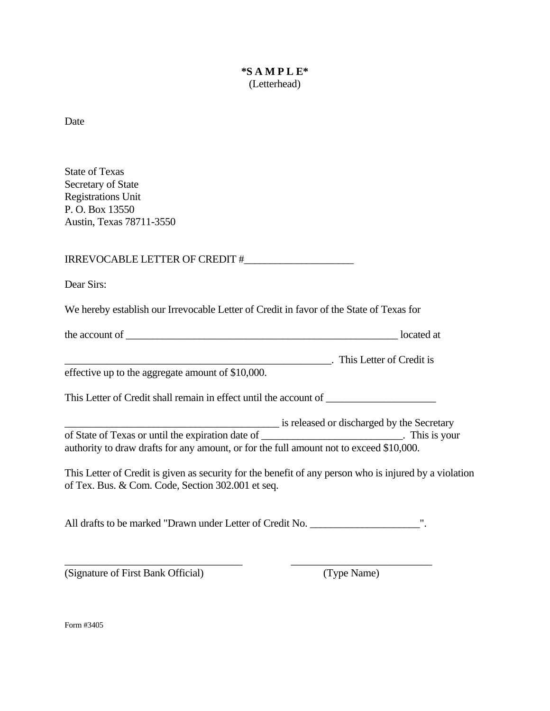## **\*S A M P L E\***  (Letterhead)

Date

State of Texas Secretary of State Registrations Unit P. O. Box 13550 Austin, Texas 78711-3550

IRREVOCABLE LETTER OF CREDIT #\_\_\_\_\_\_\_\_\_\_\_\_\_\_\_\_\_\_\_\_\_

Dear Sirs:

We hereby establish our Irrevocable Letter of Credit in favor of the State of Texas for

| the account of | located at |
|----------------|------------|
|----------------|------------|

\_\_\_\_\_\_\_\_\_\_\_\_\_\_\_\_\_\_\_\_\_\_\_\_\_\_\_\_\_\_\_\_\_\_\_\_\_\_\_\_\_\_\_\_\_\_\_\_\_\_\_. This Letter of Credit is

effective up to the aggregate amount of \$10,000.

This Letter of Credit shall remain in effect until the account of \_\_\_\_\_\_\_\_\_\_\_\_\_\_\_

**EXECUTE:** is released or discharged by the Secretary of State of Texas or until the expiration date of \_\_\_\_\_\_\_\_\_\_\_\_\_\_\_\_\_\_\_\_\_\_\_\_\_\_\_. This is your authority to draw drafts for any amount, or for the full amount not to exceed \$10,000.

This Letter of Credit is given as security for the benefit of any person who is injured by a violation of Tex. Bus. & Com. Code, Section 302.001 et seq.

All drafts to be marked "Drawn under Letter of Credit No. \_\_\_\_\_\_\_\_\_\_\_\_\_\_\_\_\_\_\_\_\_\_\_ ".

 $\frac{1}{2}$  , the contribution of the contribution of the contribution of the contribution of the contribution of the contribution of the contribution of the contribution of the contribution of the contribution of the contr

(Signature of First Bank Official) (Type Name)

Form #3405